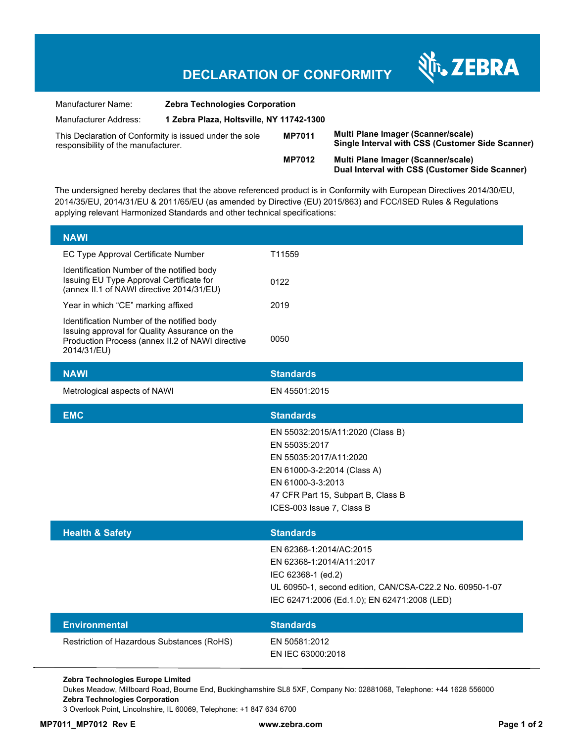## **DECLARATION OF CONFORMITY**

Nr. ZEBRA

| Manufacturer Name:                                                                             | <b>Zebra Technologies Corporation</b>    |               |                                                                                        |
|------------------------------------------------------------------------------------------------|------------------------------------------|---------------|----------------------------------------------------------------------------------------|
| Manufacturer Address:                                                                          | 1 Zebra Plaza, Holtsville, NY 11742-1300 |               |                                                                                        |
| This Declaration of Conformity is issued under the sole<br>responsibility of the manufacturer. |                                          | <b>MP7011</b> | Multi Plane Imager (Scanner/scale)<br>Single Interval with CSS (Customer Side Scanner) |
|                                                                                                |                                          | <b>MP7012</b> | Multi Plane Imager (Scanner/scale)<br>Dual Interval with CSS (Customer Side Scanner)   |

The undersigned hereby declares that the above referenced product is in Conformity with European Directives 2014/30/EU, 2014/35/EU, 2014/31/EU & 2011/65/EU (as amended by Directive (EU) 2015/863) and FCC/ISED Rules & Regulations applying relevant Harmonized Standards and other technical specifications:

| <b>NAWI</b>                                                                                                                                                    |                                                                                                                                                                                                    |  |  |
|----------------------------------------------------------------------------------------------------------------------------------------------------------------|----------------------------------------------------------------------------------------------------------------------------------------------------------------------------------------------------|--|--|
| EC Type Approval Certificate Number                                                                                                                            | T11559                                                                                                                                                                                             |  |  |
| Identification Number of the notified body<br>Issuing EU Type Approval Certificate for<br>(annex II.1 of NAWI directive 2014/31/EU)                            | 0122                                                                                                                                                                                               |  |  |
| Year in which "CE" marking affixed                                                                                                                             | 2019                                                                                                                                                                                               |  |  |
| Identification Number of the notified body<br>Issuing approval for Quality Assurance on the<br>Production Process (annex II.2 of NAWI directive<br>2014/31/EU) | 0050                                                                                                                                                                                               |  |  |
| <b>NAWI</b>                                                                                                                                                    | <b>Standards</b>                                                                                                                                                                                   |  |  |
| Metrological aspects of NAWI                                                                                                                                   | EN 45501:2015                                                                                                                                                                                      |  |  |
| <b>EMC</b>                                                                                                                                                     | <b>Standards</b>                                                                                                                                                                                   |  |  |
|                                                                                                                                                                | EN 55032:2015/A11:2020 (Class B)<br>EN 55035:2017<br>EN 55035:2017/A11:2020<br>EN 61000-3-2:2014 (Class A)<br>EN 61000-3-3:2013<br>47 CFR Part 15, Subpart B, Class B<br>ICES-003 Issue 7, Class B |  |  |
| <b>Health &amp; Safety</b>                                                                                                                                     | <b>Standards</b>                                                                                                                                                                                   |  |  |
|                                                                                                                                                                | EN 62368-1:2014/AC:2015<br>EN 62368-1:2014/A11:2017<br>IEC 62368-1 (ed.2)<br>UL 60950-1, second edition, CAN/CSA-C22.2 No. 60950-1-07<br>IEC 62471:2006 (Ed.1.0); EN 62471:2008 (LED)              |  |  |
| <b>Environmental</b>                                                                                                                                           | <b>Standards</b>                                                                                                                                                                                   |  |  |
| Restriction of Hazardous Substances (RoHS)                                                                                                                     | EN 50581:2012<br>EN IEC 63000:2018                                                                                                                                                                 |  |  |

**Zebra Technologies Europe Limited** 

Dukes Meadow, Millboard Road, Bourne End, Buckinghamshire SL8 5XF, Company No: 02881068, Telephone: +44 1628 556000 **Zebra Technologies Corporation** 

3 Overlook Point, Lincolnshire, IL 60069, Telephone: +1 847 634 6700